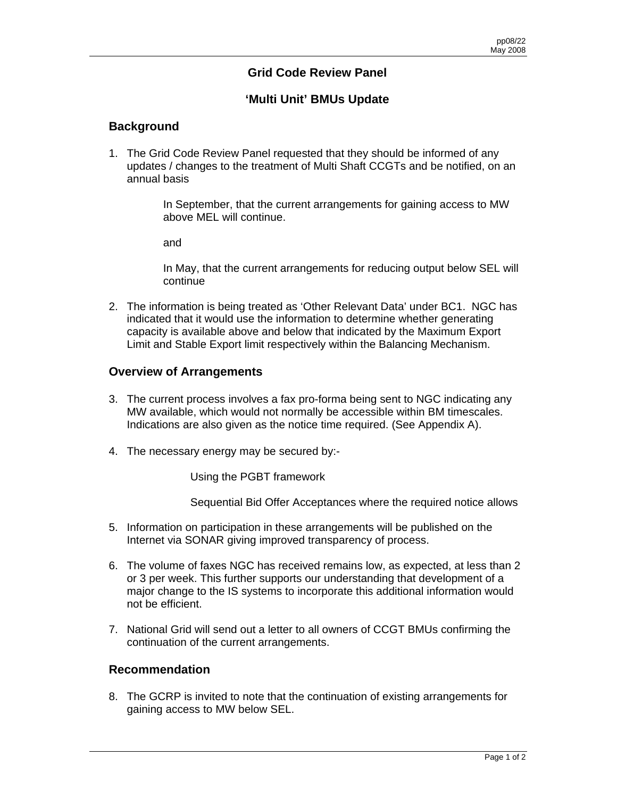### **Grid Code Review Panel**

## **'Multi Unit' BMUs Update**

#### **Background**

1. The Grid Code Review Panel requested that they should be informed of any updates / changes to the treatment of Multi Shaft CCGTs and be notified, on an annual basis

> In September, that the current arrangements for gaining access to MW above MEL will continue.

and

In May, that the current arrangements for reducing output below SEL will continue

2. The information is being treated as 'Other Relevant Data' under BC1. NGC has indicated that it would use the information to determine whether generating capacity is available above and below that indicated by the Maximum Export Limit and Stable Export limit respectively within the Balancing Mechanism.

#### **Overview of Arrangements**

- 3. The current process involves a fax pro-forma being sent to NGC indicating any MW available, which would not normally be accessible within BM timescales. Indications are also given as the notice time required. (See Appendix A).
- 4. The necessary energy may be secured by:-

Using the PGBT framework

Sequential Bid Offer Acceptances where the required notice allows

- 5. Information on participation in these arrangements will be published on the Internet via SONAR giving improved transparency of process.
- 6. The volume of faxes NGC has received remains low, as expected, at less than 2 or 3 per week. This further supports our understanding that development of a major change to the IS systems to incorporate this additional information would not be efficient.
- 7. National Grid will send out a letter to all owners of CCGT BMUs confirming the continuation of the current arrangements.

#### **Recommendation**

8. The GCRP is invited to note that the continuation of existing arrangements for gaining access to MW below SEL.